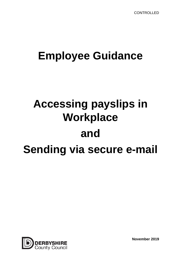## **Employee Guidance**

# **Accessing payslips in Workplace and Sending via secure e-mail**



**November 2019**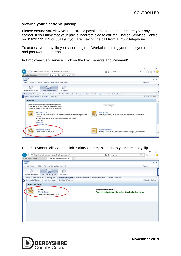#### **Viewing your electronic payslip**

Please ensure you view your electronic payslip every month to ensure your pay is correct. If you think that your pay is incorrect please call the Shared Services Centre on 01629 535119 or 35119 if you are making the call from a VOIP telephone.

To access your payslip you should login to Workplace using your employee number and password as normal.

In Employee Self-Service, click on the link 'Benefits and Payment'

| w                        | https://workplace.webapp.derbyshire.local/irj/portal/                                                                                                                    |                                                                                                                                                     |                     | $-AC$                | Search                                                                  | $\rho$ - $\hat{w}$ $\hat{w}$ $\circledcirc$ |
|--------------------------|--------------------------------------------------------------------------------------------------------------------------------------------------------------------------|-----------------------------------------------------------------------------------------------------------------------------------------------------|---------------------|----------------------|-------------------------------------------------------------------------|---------------------------------------------|
| derbyshire.gov.uk        |                                                                                                                                                                          | Dverview - SAP NetWeaver  X                                                                                                                         |                     |                      |                                                                         |                                             |
| <b>SAP</b>               |                                                                                                                                                                          |                                                                                                                                                     |                     |                      |                                                                         | Log off                                     |
|                          | Back Forward History Favorites Personalize View Help                                                                                                                     |                                                                                                                                                     |                     |                      |                                                                         | Welcome:                                    |
|                          |                                                                                                                                                                          | $\sim$                                                                                                                                              |                     |                      |                                                                         |                                             |
| Manager Self-Service     | Employee Self-Service                                                                                                                                                    | <b>BW Reports</b>                                                                                                                                   |                     |                      |                                                                         |                                             |
| Overview Employee Search | Working Time                                                                                                                                                             | Benefits and Payment<br>Personal Information                                                                                                        | Travel and Expenses |                      | Life and Work Events                                                    |                                             |
|                          | Employee Self-Service > Overview > Overview                                                                                                                              |                                                                                                                                                     |                     |                      |                                                                         | Full Screen   Options =                     |
| Overview                 |                                                                                                                                                                          |                                                                                                                                                     |                     |                      |                                                                         |                                             |
|                          | Employee Self-Service applications provide you with<br>easy access to information and services for employees.<br>This page gives you an overview of the entire offering. |                                                                                                                                                     |                     | User Settings        |                                                                         |                                             |
| Council.                 | <b>Employee Search</b>                                                                                                                                                   | Search for employees by name and find basic information about colleagues in the<br>Maintain personal information and make it available Councilwide. |                     | <b>Working Time</b>  | Record your working times, plan your leave, and display your time data. |                                             |
| Quick Links<br>Who's Who | Change Own Data                                                                                                                                                          |                                                                                                                                                     |                     |                      |                                                                         |                                             |
|                          | <b>Benefits and Payment</b><br>Display your salary statement.                                                                                                            |                                                                                                                                                     |                     | Personal Information | Manage your addresses, bank information and emergency contact details.  | $\check{ }$                                 |

Under Payment, click on the link 'Salary Statement' to go to your latest payslip.

|                                                                          | https://workplace.webapp.derbyshire.local/irj/portal/ | AC<br>Search<br>v.                                                                              | 价太数 ◎<br>, ۹            |
|--------------------------------------------------------------------------|-------------------------------------------------------|-------------------------------------------------------------------------------------------------|-------------------------|
| derbyshire.gov.uk                                                        | $\overline{z}$ Benefits and Payment - SAP $\times$    |                                                                                                 |                         |
| <b>SAP</b>                                                               |                                                       |                                                                                                 | Log off                 |
| History Favorites Personalize View Help<br>$4$ Back<br>Forward »         |                                                       |                                                                                                 | Welcome:                |
| <b>Employee Self-Service</b><br>Manager Self-Service                     | Г<br><b>BW Reports</b>                                |                                                                                                 |                         |
| Employee Search<br><b>Working Time</b><br>Overview                       | <b>Benefits and Payment</b><br>Personal Information   | Life and Work Events<br><b>Travel and Expenses</b>                                              |                         |
| Employee Self-Service > Benefits and Payment > Benefits and Payment      |                                                       |                                                                                                 | Full Screen   Options = |
| Payment<br><b>Salary Statement</b><br>View your latest salary statement. |                                                       | <b>Additional Information:</b><br>Please do not print payslip unless it is absolutely necessary |                         |
|                                                                          |                                                       |                                                                                                 |                         |



**November 2019**

 $\vee$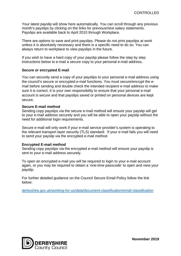Your latest payslip will show here automatically. You can scroll through any previous month's payslips by clicking on the links for previous/next salary statements. Payslips are available back to April 2010 through Workplace.

There are options to save and print payslips. Please do not print payslips at work unless it is absolutely necessary and there is a specific need to do so. You can always return to workplace to view payslips in the future.

If you wish to have a hard copy of your payslip please follow the step by step instructions below to e-mail a secure copy to your personal e-mail address.

#### **Secure or encrypted E-mail**

You can securely send a copy of your payslips to your personal e-mail address using the council's secure or encrypted e-mail functions. You must secure/encrypt the email before sending and double check the intended recipient e-mail address to make sure it is correct. It is your own responsibility to ensure that your personal e-mail account is secure and that payslips saved or printed on personal devices are kept secure.

#### **Secure E-mail method**

Sending copy payslips via the secure e-mail method will ensure your payslip will get to your e-mail address securely and you will be able to open your payslip without the need for additional login requirements.

Secure e-mail will only work if your e-mail service provider's system is operating to the relevant transport layer security (TLS) standard. If your e-mail fails you will need to send your payslip via the encrypted e-mail method.

#### **Encrypted E-mail method**

Sending copy payslips via the encrypted e-mail method will ensure your payslip is sent to your e-mail address securely.

To open an encrypted e-mail you will be required to login to your e-mail account again, or you may be required to obtain a 'one-time passcode' to open and view your payslip.

For further detailed guidance on the Council Secure Email Policy follow the link below:

[derbyshire.gov.uk/working-for-us/data/document-classification/email-classification](https://www.derbyshire.gov.uk/working-for-us/data/document-classification/email-classification/email-classification.aspx)

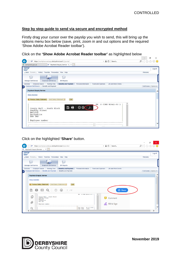#### **Step by step guide to send via secure and encrypted method**

Firstly drag your cursor over the payslip you wish to send, this will bring up the options menu box below (save, print, zoom in and out options and the required 'Show Adobe Acrobat Reader toolbar').

### Click on the **'Show Adobe Acrobat Reader toolbar'** as highlighted below

| e derbyshire.gov.uk                                |                                                       | Paycheck Enquiry Service - S. X                                                       |                                            |
|----------------------------------------------------|-------------------------------------------------------|---------------------------------------------------------------------------------------|--------------------------------------------|
| <b>SAP</b>                                         |                                                       |                                                                                       | Log off                                    |
| $\triangleleft$ Back                               | Forward History Favorites Personalize View Help       |                                                                                       | Welcome                                    |
|                                                    |                                                       | Г                                                                                     |                                            |
| Manager Self-Service                               | Employee Self-Service                                 | <b>BW Reports</b>                                                                     |                                            |
| Overview                                           | Employee Search Working Time                          | Benefits and Payment Personal Information<br>Travel and Expenses Life and Work Events |                                            |
|                                                    | Employee Self-Service > Benefits and Payment          |                                                                                       | Full Screen   Options $\blacktriangledown$ |
|                                                    | K Previous Salary Statement   Next Salary Statement ▶ | Exit                                                                                  |                                            |
| Smedley Street<br>MATLOCK<br>Derbyshire<br>DE4 3AG | County Hall - South Block                             | S CORE W2642-50 1<br>EW                                                               |                                            |

#### Click on the highlighted **'Share'** button.

|                                                                                                                                                                                                                                                     | $\times$<br>σ           |
|-----------------------------------------------------------------------------------------------------------------------------------------------------------------------------------------------------------------------------------------------------|-------------------------|
| $\triangle$<br>Ô<br>https://workplace.webapp.derbyshire.local/irj/portal/<br>Search<br><b>RP</b><br>$\overline{\mathbf{v}}$                                                                                                                         | Q<br>分女 # 0             |
| Paycheck Enquiry Service -  X                                                                                                                                                                                                                       |                         |
| <b>SAP</b>                                                                                                                                                                                                                                          | Log off                 |
| History Favorites Personalize View Help<br>Back Forward                                                                                                                                                                                             | Welcome:                |
| $\Box$<br>Manager Self-Service<br><b>Employee Self-Service</b><br><b>BW Reports</b>                                                                                                                                                                 |                         |
| <b>Working Time</b><br><b>Employee Search</b><br>Personal Information<br><b>Benefits and Payment</b><br><b>Travel and Expenses</b><br><b>Life and Work Events</b><br>Overview                                                                       |                         |
| Employee Self-Service > Benefits and Payment > Benefits and Payment<br>١                                                                                                                                                                            | Full Screen   Options ▼ |
| <b>Paycheck Enquiry Service</b>                                                                                                                                                                                                                     | ╭                       |
| <b>Show Overview</b><br>◀ Previous Salary Statement<br>Next Salary Statement<br>Exit                                                                                                                                                                |                         |
| 圕<br>⊜<br><b>山</b> Share<br>$_{\odot}$<br>$\circledast$<br>Œ<br>$\bowtie$<br>1 / 2                                                                                                                                                                  |                         |
| EW S CORE W2642-50 1<br>$\hat{\phantom{a}}$<br>₾<br>County Hall - South Block<br>Smedley Street<br>Comment<br>MATLOCK<br>Derbyshire<br>DE4 3AG<br>O)<br><b>A</b> Fill & Sign<br>Employee number<br>25.07.2019<br>Pay Date<br>Q<br>Tax Code<br>1248L | $\checkmark$            |
|                                                                                                                                                                                                                                                     |                         |

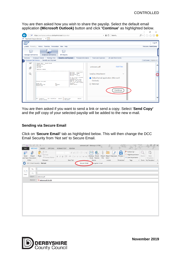You are then asked how you wish to share the payslip. Select the default email application **(Microsoft Outlook)** button and click **'Continue'** as highlighted below.

|                      |                                                                                                                                     |                                                                                                                                                                                                                                                                         |                                                                                                                   | $\times$<br>m               |
|----------------------|-------------------------------------------------------------------------------------------------------------------------------------|-------------------------------------------------------------------------------------------------------------------------------------------------------------------------------------------------------------------------------------------------------------------------|-------------------------------------------------------------------------------------------------------------------|-----------------------------|
| <b>SAP</b>           | https://workplace.webapp.derbyshire.local/irj/portal/                                                                               |                                                                                                                                                                                                                                                                         | <b>A</b><br>Ć<br>Search<br>$\mathbf{v}$                                                                           | ρ<br>$\overline{C}$         |
|                      | Paycheck Enquiry Service -  X                                                                                                       |                                                                                                                                                                                                                                                                         |                                                                                                                   |                             |
| 54                   |                                                                                                                                     |                                                                                                                                                                                                                                                                         |                                                                                                                   | Log off                     |
|                      | Back Forward History Favorites Personalize View Help                                                                                |                                                                                                                                                                                                                                                                         |                                                                                                                   | <b>Welcome: Scott Davis</b> |
| Manager Self-Service | $\sqrt{2}$<br><b>Employee Self-Service</b><br><b>BW Reports</b>                                                                     |                                                                                                                                                                                                                                                                         |                                                                                                                   |                             |
| Overview             | Employee Search<br><b>Working Time</b><br><b>Benefits and Payment</b>                                                               | Personal Information                                                                                                                                                                                                                                                    | <b>Travel and Expenses</b><br>Life and Work Events                                                                |                             |
|                      | Employee Self-Service > Benefits and Payment                                                                                        |                                                                                                                                                                                                                                                                         |                                                                                                                   | Full Screen   Options ▼     |
| کا<br>O)             | County Hall - South Block<br>Smedley Street<br>MATLOCK<br>Derbyshire<br>DE4 3AG<br>Employee number                                  |                                                                                                                                                                                                                                                                         | <b>Add Files</b><br>unknown.pdf                                                                                   | ⌒                           |
| Q                    | Totals this year<br>Gross Pay<br>NI<br>PenCont.<br>Pensionable Pav<br>Taxable pay<br>Tax<br>Mth Payments<br>Job Hrs/Miles<br>Amount | Pay Date 25.07.2019<br>Tax Code 1248L<br>Tax Period 04<br>Tax Ref 507/D1<br>It is in your interest<br>to check the<br>information on this<br>payslip, and if you<br>feel it is incorrect,<br>or if you have a query<br>contact:<br>01629 535119<br>Deductions<br>Amount | Send as Attachment<br>$\checkmark$<br>• Default email application (Microsoft<br>Outlook)<br>O Webmail<br>Continue | $\checkmark$                |
|                      | Actual Salary                                                                                                                       | Tax paid                                                                                                                                                                                                                                                                |                                                                                                                   |                             |

You are then asked if you want to send a link or send a copy. Select '**Send Copy'** and the pdf copy of your selected payslip will be added to the new e-mail.

#### **Sending via Secure Email**

Click on '**Secure Email'** tab as highlighted below. This will then change the DCC Email Security from 'Not set' to Secure Email.

| $\Box$<br>日<br>$\epsilon$                                                               | $\overline{\phantom{a}}$                         |                    |                                                                                                                                                                                                                                                                                                                                                                                                                                                                                                                                                                                                                                                                  | unknown.pdf - Message (HTML)            |                                        |                                                                                               |                             | ?国与X                                       |
|-----------------------------------------------------------------------------------------|--------------------------------------------------|--------------------|------------------------------------------------------------------------------------------------------------------------------------------------------------------------------------------------------------------------------------------------------------------------------------------------------------------------------------------------------------------------------------------------------------------------------------------------------------------------------------------------------------------------------------------------------------------------------------------------------------------------------------------------------------------|-----------------------------------------|----------------------------------------|-----------------------------------------------------------------------------------------------|-----------------------------|--------------------------------------------|
| <b>MESSAGE</b><br><b>FILE</b>                                                           | <b>INSERT</b><br><b>OPTIONS</b>                  | <b>FORMAT TEXT</b> | <b>REVIEW</b>                                                                                                                                                                                                                                                                                                                                                                                                                                                                                                                                                                                                                                                    |                                         |                                        |                                                                                               |                             |                                            |
| A<br>$\mathbf{z}$<br>Send<br>Attach<br>and Save Document                                | & Cut<br>lig Copy<br>Paste<br>S Format Painter   |                    | $\begin{array}{c c c c c c} \ast & \mathbf{A} & \mathbf{A} & \mathbf{B} & \mathbf{B} & \mathbf{B} & \mathbf{B} \\ \hline \mathbf{A} & \mathbf{A} & \mathbf{B} & \mathbf{B} & \mathbf{B} & \mathbf{B} & \mathbf{B} & \mathbf{B} \\ \mathbf{A} & \mathbf{A} & \mathbf{B} & \mathbf{B} & \mathbf{B} & \mathbf{B} & \mathbf{B} & \mathbf{B} & \mathbf{B} & \mathbf{B} \\ \mathbf{A} & \mathbf{A} & \mathbf{A} & \mathbf{B} & \$<br>$\begin{array}{cc} \text{B} & I \ \ \underline{\mathsf{U}} & \left  \frac{\mathrm{ab}}{2} \star \ \mathsf{A} \ \ \star \ \right  \equiv \ \equiv \ \equiv \ \frac{\mathrm{ac}}{2} \ \ \equiv \ \frac{\mathrm{ac}}{2} \end{array}$ | Û<br>■ ※<br>Address Check<br>Book Names | Attach Attach Signature<br>File Item * | Follow Up *<br>2<br>High Importance<br>Protect<br>$\downarrow$ Low Importance<br>$\mathbf{v}$ | Zoom                        | D,<br>View<br>Templates                    |
| EDRM                                                                                    | Clipboard<br>$\overline{\mathbb{F}_M}$           | <b>Basic Text</b>  |                                                                                                                                                                                                                                                                                                                                                                                                                                                                                                                                                                                                                                                                  | Names                                   | Include                                | Protection<br>Tags                                                                            | $\overline{\mathbb{F}_M}$ . | Zoom   My Templates<br>$\hat{\phantom{a}}$ |
| Ω                                                                                       | DCC Email Security: Not set                      |                    | <b>Secure Email</b>                                                                                                                                                                                                                                                                                                                                                                                                                                                                                                                                                                                                                                              | <b>P</b> ncrypted Email                 |                                        |                                                                                               |                             | $\times$                                   |
| <b>To</b><br>$\overline{\cdot} = \overline{\cdot}$<br>Cc<br>Send<br>Subject<br>Attached | unknown.pdf<br>$\frac{1}{2}$ unknown.pdf (24 KB) |                    |                                                                                                                                                                                                                                                                                                                                                                                                                                                                                                                                                                                                                                                                  |                                         |                                        |                                                                                               |                             |                                            |



**November 2019**